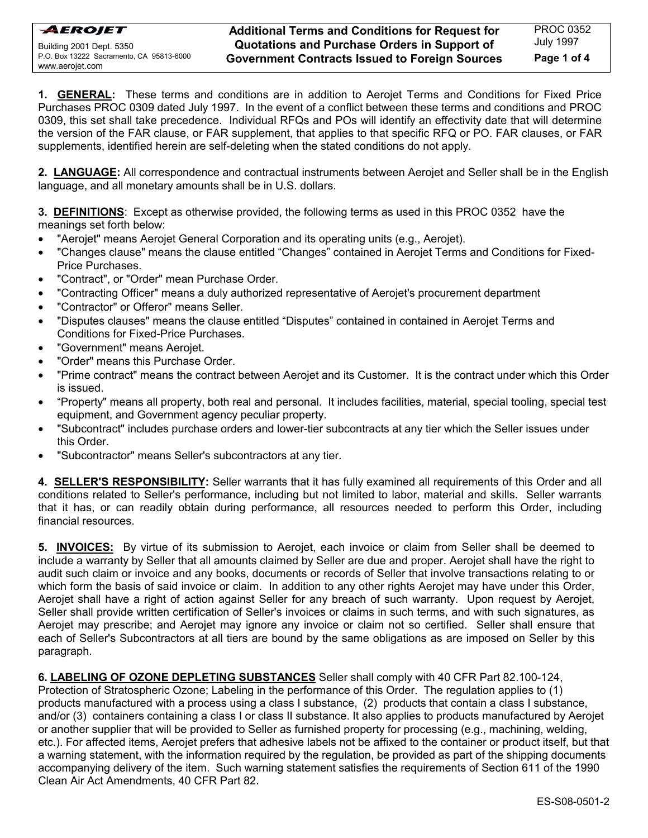**1. GENERAL:** These terms and conditions are in addition to Aerojet Terms and Conditions for Fixed Price Purchases PROC 0309 dated July 1997. In the event of a conflict between these terms and conditions and PROC 0309, this set shall take precedence. Individual RFQs and POs will identify an effectivity date that will determine the version of the FAR clause, or FAR supplement, that applies to that specific RFQ or PO. FAR clauses, or FAR supplements, identified herein are self-deleting when the stated conditions do not apply.

**2. LANGUAGE:** All correspondence and contractual instruments between Aerojet and Seller shall be in the English language, and all monetary amounts shall be in U.S. dollars.

**3. DEFINITIONS**: Except as otherwise provided, the following terms as used in this PROC 0352 have the meanings set forth below:

- "Aerojet" means Aerojet General Corporation and its operating units (e.g., Aerojet).
- "Changes clause" means the clause entitled "Changes" contained in Aerojet Terms and Conditions for Fixed-Price Purchases.
- "Contract", or "Order" mean Purchase Order.
- "Contracting Officer" means a duly authorized representative of Aerojet's procurement department
- "Contractor" or Offeror" means Seller.
- "Disputes clauses" means the clause entitled "Disputes" contained in contained in Aerojet Terms and Conditions for Fixed-Price Purchases.
- "Government" means Aerojet.
- "Order" means this Purchase Order.
- "Prime contract" means the contract between Aerojet and its Customer. It is the contract under which this Order is issued.
- "Property" means all property, both real and personal. It includes facilities, material, special tooling, special test equipment, and Government agency peculiar property.
- "Subcontract" includes purchase orders and lower-tier subcontracts at any tier which the Seller issues under this Order.
- "Subcontractor" means Seller's subcontractors at any tier.

**4. SELLER'S RESPONSIBILITY:** Seller warrants that it has fully examined all requirements of this Order and all conditions related to Seller's performance, including but not limited to labor, material and skills. Seller warrants that it has, or can readily obtain during performance, all resources needed to perform this Order, including financial resources.

**5. INVOICES:** By virtue of its submission to Aerojet, each invoice or claim from Seller shall be deemed to include a warranty by Seller that all amounts claimed by Seller are due and proper. Aerojet shall have the right to audit such claim or invoice and any books, documents or records of Seller that involve transactions relating to or which form the basis of said invoice or claim. In addition to any other rights Aerojet may have under this Order, Aerojet shall have a right of action against Seller for any breach of such warranty. Upon request by Aerojet, Seller shall provide written certification of Seller's invoices or claims in such terms, and with such signatures, as Aerojet may prescribe; and Aerojet may ignore any invoice or claim not so certified. Seller shall ensure that each of Seller's Subcontractors at all tiers are bound by the same obligations as are imposed on Seller by this paragraph.

### **6. LABELING OF OZONE DEPLETING SUBSTANCES** Seller shall comply with 40 CFR Part 82.100-124,

Protection of Stratospheric Ozone; Labeling in the performance of this Order. The regulation applies to (1) products manufactured with a process using a class I substance, (2) products that contain a class I substance, and/or (3) containers containing a class I or class II substance. It also applies to products manufactured by Aerojet or another supplier that will be provided to Seller as furnished property for processing (e.g., machining, welding, etc.). For affected items, Aerojet prefers that adhesive labels not be affixed to the container or product itself, but that a warning statement, with the information required by the regulation, be provided as part of the shipping documents accompanying delivery of the item. Such warning statement satisfies the requirements of Section 611 of the 1990 Clean Air Act Amendments, 40 CFR Part 82.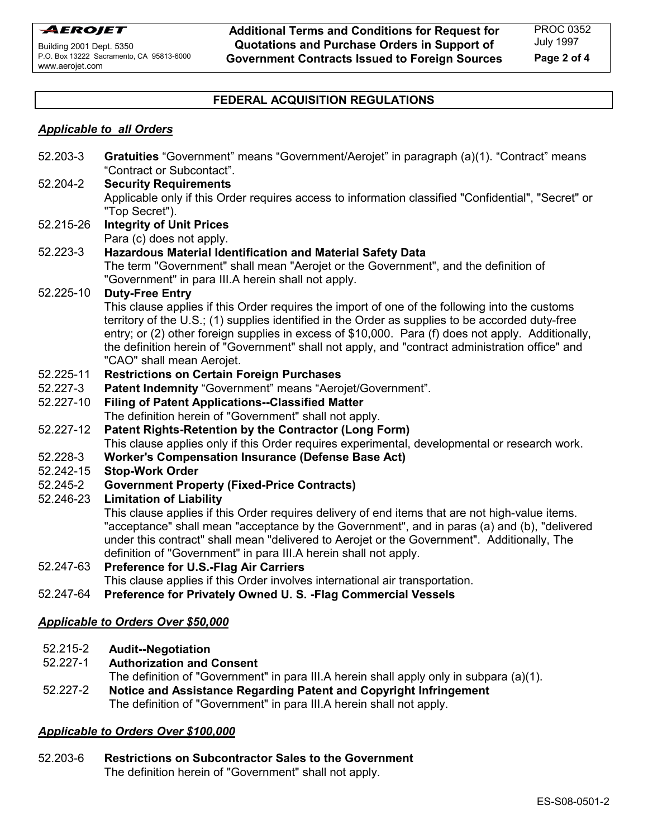**Additional Terms and Conditions for Request for Quotations and Purchase Orders in Support of Government Contracts Issued to Foreign Sources**

### **FEDERAL ACQUISITION REGULATIONS**

### *Applicable to all Orders*

| 52.203-3                                  | Gratuities "Government" means "Government/Aerojet" in paragraph (a)(1). "Contract" means<br>"Contract or Subcontact".                                                                                 |
|-------------------------------------------|-------------------------------------------------------------------------------------------------------------------------------------------------------------------------------------------------------|
| 52.204-2                                  | <b>Security Requirements</b>                                                                                                                                                                          |
|                                           | Applicable only if this Order requires access to information classified "Confidential", "Secret" or                                                                                                   |
|                                           | "Top Secret").                                                                                                                                                                                        |
| 52.215-26                                 | <b>Integrity of Unit Prices</b>                                                                                                                                                                       |
|                                           | Para (c) does not apply.                                                                                                                                                                              |
| 52.223-3                                  | Hazardous Material Identification and Material Safety Data                                                                                                                                            |
|                                           | The term "Government" shall mean "Aerojet or the Government", and the definition of                                                                                                                   |
|                                           | "Government" in para III.A herein shall not apply.                                                                                                                                                    |
| 52.225-10                                 | <b>Duty-Free Entry</b>                                                                                                                                                                                |
|                                           | This clause applies if this Order requires the import of one of the following into the customs                                                                                                        |
|                                           | territory of the U.S.; (1) supplies identified in the Order as supplies to be accorded duty-free                                                                                                      |
|                                           | entry; or (2) other foreign supplies in excess of \$10,000. Para (f) does not apply. Additionally,<br>the definition herein of "Government" shall not apply, and "contract administration office" and |
|                                           | "CAO" shall mean Aerojet.                                                                                                                                                                             |
| 52.225-11                                 | <b>Restrictions on Certain Foreign Purchases</b>                                                                                                                                                      |
| 52.227-3                                  | Patent Indemnity "Government" means "Aerojet/Government".                                                                                                                                             |
| 52.227-10                                 | <b>Filing of Patent Applications--Classified Matter</b>                                                                                                                                               |
|                                           | The definition herein of "Government" shall not apply.                                                                                                                                                |
| 52.227-12                                 | Patent Rights-Retention by the Contractor (Long Form)                                                                                                                                                 |
|                                           | This clause applies only if this Order requires experimental, developmental or research work.                                                                                                         |
| 52.228-3                                  | <b>Worker's Compensation Insurance (Defense Base Act)</b>                                                                                                                                             |
| 52.242-15                                 | <b>Stop-Work Order</b>                                                                                                                                                                                |
| 52.245-2                                  | <b>Government Property (Fixed-Price Contracts)</b>                                                                                                                                                    |
| 52.246-23                                 | <b>Limitation of Liability</b>                                                                                                                                                                        |
|                                           | This clause applies if this Order requires delivery of end items that are not high-value items.                                                                                                       |
|                                           | "acceptance" shall mean "acceptance by the Government", and in paras (a) and (b), "delivered                                                                                                          |
|                                           | under this contract" shall mean "delivered to Aerojet or the Government". Additionally, The                                                                                                           |
|                                           | definition of "Government" in para III.A herein shall not apply.                                                                                                                                      |
| 52.247-63                                 | <b>Preference for U.S.-Flag Air Carriers</b>                                                                                                                                                          |
|                                           | This clause applies if this Order involves international air transportation.                                                                                                                          |
| 52.247-64                                 | Preference for Privately Owned U.S. - Flag Commercial Vessels                                                                                                                                         |
| <b>Applicable to Orders Over \$50,000</b> |                                                                                                                                                                                                       |
|                                           |                                                                                                                                                                                                       |
|                                           |                                                                                                                                                                                                       |

- 52.215-2 **Audit--Negotiation**
- 52.227-1 **Authorization and Consent**

The definition of "Government" in para III.A herein shall apply only in subpara (a)(1).

52.227-2 **Notice and Assistance Regarding Patent and Copyright Infringement** The definition of "Government" in para III.A herein shall not apply.

### *Applicable to Orders Over \$100,000*

52.203-6 **Restrictions on Subcontractor Sales to the Government** The definition herein of "Government" shall not apply.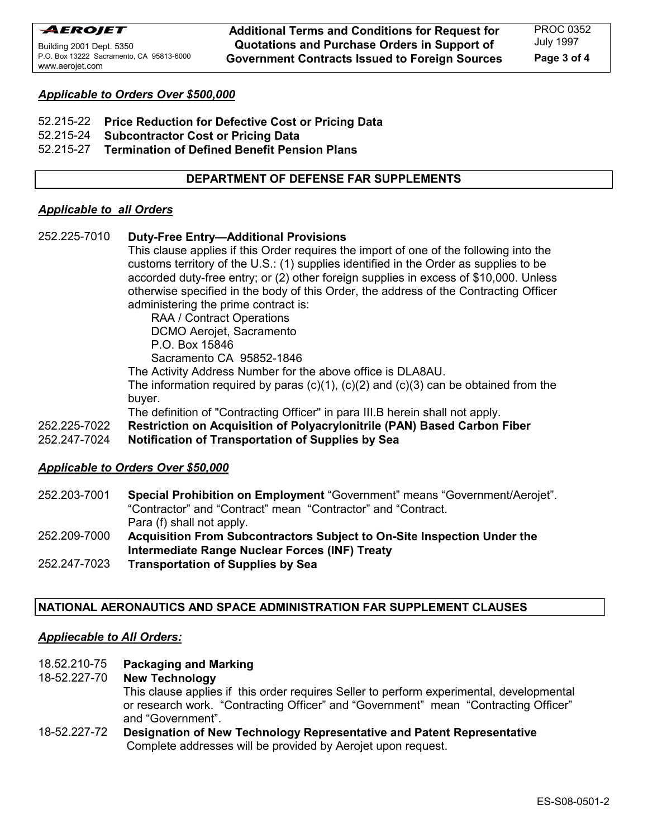**Additional Terms and Conditions for Request for Quotations and Purchase Orders in Support of Government Contracts Issued to Foreign Sources**

## *Applicable to Orders Over \$500,000*

- 52.215-22 **Price Reduction for Defective Cost or Pricing Data**
- 52.215-24 **Subcontractor Cost or Pricing Data**

### 52.215-27 **Termination of Defined Benefit Pension Plans**

## **DEPARTMENT OF DEFENSE FAR SUPPLEMENTS**

### *Applicable to all Orders*

252.225-7010 **Duty-Free Entry--Additional Provisions** 

This clause applies if this Order requires the import of one of the following into the customs territory of the U.S.: (1) supplies identified in the Order as supplies to be accorded duty-free entry; or (2) other foreign supplies in excess of \$10,000. Unless otherwise specified in the body of this Order, the address of the Contracting Officer administering the prime contract is:

 RAA / Contract Operations DCMO Aerojet, Sacramento P.O. Box 15846 Sacramento CA 95852-1846

The Activity Address Number for the above office is DLA8AU.

The information required by paras  $(c)(1)$ ,  $(c)(2)$  and  $(c)(3)$  can be obtained from the buyer.

The definition of "Contracting Officer" in para III.B herein shall not apply.

- 252.225-7022 **Restriction on Acquisition of Polyacrylonitrile (PAN) Based Carbon Fiber**
- 252.247-7024 **Notification of Transportation of Supplies by Sea**

# *Applicable to Orders Over \$50,000*

- 252.203-7001 **Special Prohibition on Employment** "Government" means "Government/Aerojet". "Contractor" and "Contract" mean "Contractor" and "Contract. Para (f) shall not apply.
- 252.209-7000 **Acquisition From Subcontractors Subject to On-Site Inspection Under the Intermediate Range Nuclear Forces (INF) Treaty**
- 252.247-7023 **Transportation of Supplies by Sea**

# **NATIONAL AERONAUTICS AND SPACE ADMINISTRATION FAR SUPPLEMENT CLAUSES**

# *Appliecable to All Orders:*

# 18.52.210-75 **Packaging and Marking**

18-52.227-70 **New Technology** This clause applies if this order requires Seller to perform experimental, developmental or research work. "Contracting Officer" and "Government" mean "Contracting Officer" and "Government".

### 18-52.227-72 **Designation of New Technology Representative and Patent Representative** Complete addresses will be provided by Aerojet upon request.